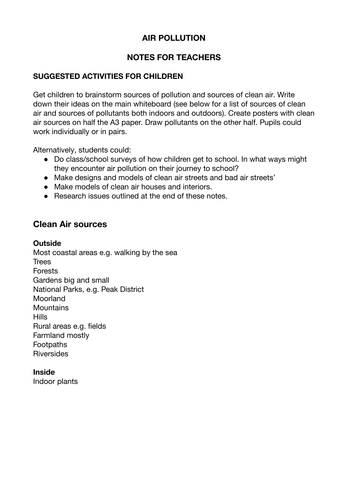# **AIR POLLUTION**

## **NOTES FOR TEACHERS**

## **SUGGESTED ACTIVITIES FOR CHILDREN**

Get children to brainstorm sources of pollution and sources of clean air. Write down their ideas on the main whiteboard (see below for a list of sources of clean air and sources of pollutants both indoors and outdoors). Create posters with clean air sources on half the A3 paper. Draw pollutants on the other half. Pupils could work individually or in pairs.

Alternatively, students could:

- Do class/school surveys of how children get to school. In what ways might they encounter air pollution on their journey to school?
- Make designs and models of clean air streets and bad air streets'
- Make models of clean air houses and interiors.
- Research issues outlined at the end of these notes.

## **Clean Air sources**

### **Outside**

Most coastal areas e.g. walking by the sea **Trees** Forests Gardens big and small National Parks, e.g. Peak District Moorland **Mountains** Hills Rural areas e.g. fields Farmland mostly Footpaths **Riversides** 

## **Inside**

Indoor plants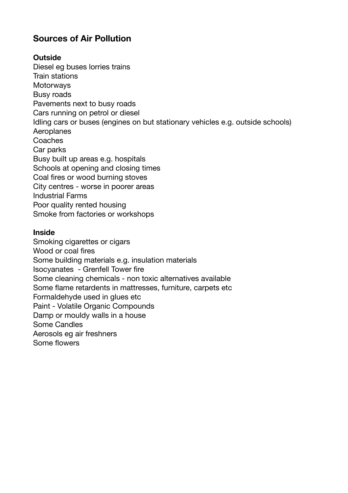# **Sources of Air Pollution**

### **Outside**

Diesel eg buses lorries trains Train stations **Motorways** Busy roads Pavements next to busy roads Cars running on petrol or diesel Idling cars or buses (engines on but stationary vehicles e.g. outside schools) Aeroplanes **Coaches** Car parks Busy built up areas e.g. hospitals Schools at opening and closing times Coal fires or wood burning stoves City centres - worse in poorer areas Industrial Farms Poor quality rented housing Smoke from factories or workshops

#### **Inside**

Smoking cigarettes or cigars Wood or coal fires Some building materials e.g. insulation materials Isocyanates - Grenfell Tower fire Some cleaning chemicals - non toxic alternatives available Some flame retardents in mattresses, furniture, carpets etc Formaldehyde used in glues etc Paint - Volatile Organic Compounds Damp or mouldy walls in a house Some Candles Aerosols eg air freshners Some flowers